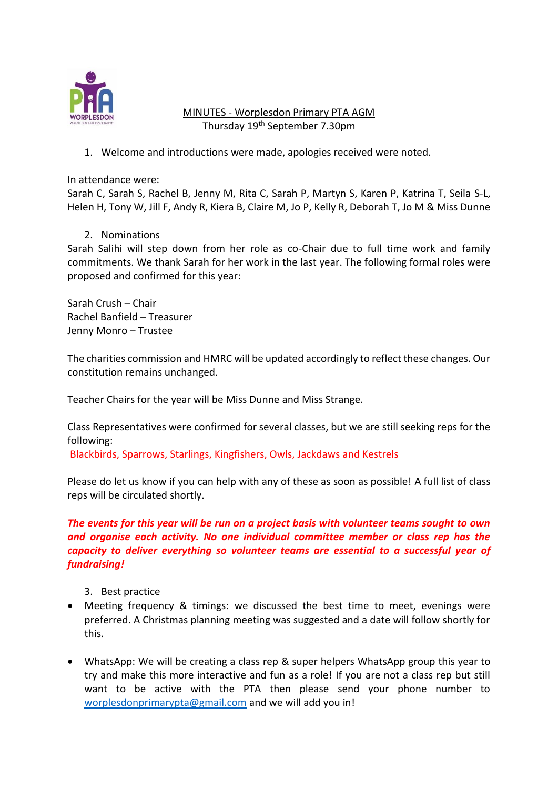

# MINUTES - Worplesdon Primary PTA AGM Thursday 19<sup>th</sup> September 7.30pm

1. Welcome and introductions were made, apologies received were noted.

In attendance were:

Sarah C, Sarah S, Rachel B, Jenny M, Rita C, Sarah P, Martyn S, Karen P, Katrina T, Seila S-L, Helen H, Tony W, Jill F, Andy R, Kiera B, Claire M, Jo P, Kelly R, Deborah T, Jo M & Miss Dunne

2. Nominations

Sarah Salihi will step down from her role as co-Chair due to full time work and family commitments. We thank Sarah for her work in the last year. The following formal roles were proposed and confirmed for this year:

Sarah Crush – Chair Rachel Banfield – Treasurer Jenny Monro – Trustee

The charities commission and HMRC will be updated accordingly to reflect these changes. Our constitution remains unchanged.

Teacher Chairs for the year will be Miss Dunne and Miss Strange.

Class Representatives were confirmed for several classes, but we are still seeking reps for the following:

Blackbirds, Sparrows, Starlings, Kingfishers, Owls, Jackdaws and Kestrels

Please do let us know if you can help with any of these as soon as possible! A full list of class reps will be circulated shortly.

# *The events for this year will be run on a project basis with volunteer teams sought to own and organise each activity. No one individual committee member or class rep has the capacity to deliver everything so volunteer teams are essential to a successful year of fundraising!*

- 3. Best practice
- Meeting frequency & timings: we discussed the best time to meet, evenings were preferred. A Christmas planning meeting was suggested and a date will follow shortly for this.
- WhatsApp: We will be creating a class rep & super helpers WhatsApp group this year to try and make this more interactive and fun as a role! If you are not a class rep but still want to be active with the PTA then please send your phone number to [worplesdonprimarypta@gmail.com](mailto:worplesdonprimarypta@gmail.com) and we will add you in!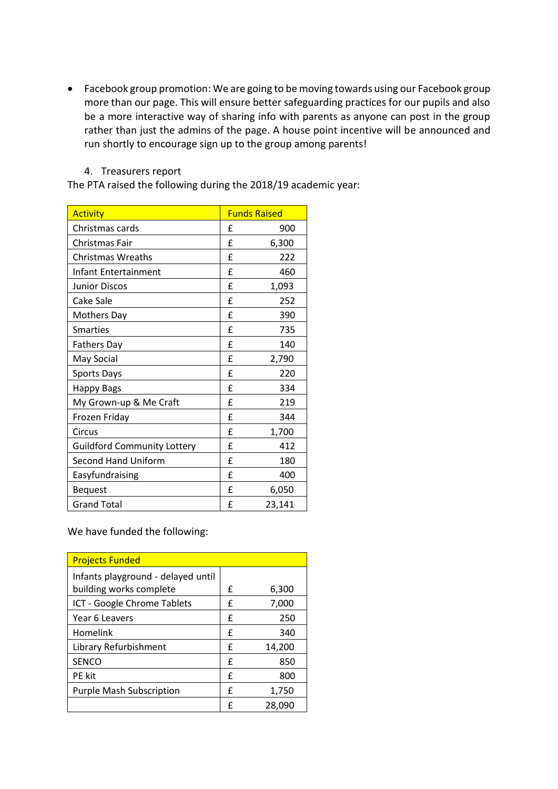Facebook group promotion: We are going to be moving towards using our Facebook group more than our page. This will ensure better safeguarding practices for our pupils and also be a more interactive way of sharing info with parents as anyone can post in the group rather than just the admins of the page. A house point incentive will be announced and run shortly to encourage sign up to the group among parents!

### 4. Treasurers report

The PTA raised the following during the 2018/19 academic year:

| <b>Activity</b>                    |   | <b>Funds Raised</b> |
|------------------------------------|---|---------------------|
| Christmas cards                    | £ | 900                 |
| Christmas Fair                     | f | 6,300               |
| Christmas Wreaths                  | £ | 222                 |
| Infant Entertainment               | £ | 460                 |
| <b>Junior Discos</b>               | £ | 1,093               |
| Cake Sale                          | f | 252                 |
| <b>Mothers Day</b>                 | £ | 390                 |
| <b>Smarties</b>                    | f | 735                 |
| <b>Fathers Day</b>                 | £ | 140                 |
| May Social                         | £ | 2,790               |
| <b>Sports Days</b>                 | f | 220                 |
| <b>Happy Bags</b>                  | f | 334                 |
| My Grown-up & Me Craft             | f | 219                 |
| Frozen Friday                      | £ | 344                 |
| Circus                             | f | 1,700               |
| <b>Guildford Community Lottery</b> | £ | 412                 |
| <b>Second Hand Uniform</b>         | £ | 180                 |
| Easyfundraising                    | £ | 400                 |
| <b>Bequest</b>                     | £ | 6,050               |
| <b>Grand Total</b>                 | £ | 23,141              |

We have funded the following:

| <b>Projects Funded</b>             |   |        |
|------------------------------------|---|--------|
| Infants playground - delayed until |   |        |
| building works complete            | f | 6,300  |
| ICT - Google Chrome Tablets        | f | 7,000  |
| Year 6 Leavers                     | f | 250    |
| Homelink                           | f | 340    |
| Library Refurbishment              | f | 14,200 |
| <b>SENCO</b>                       | f | 850    |
| <b>PE</b> kit                      | f | 800    |
| <b>Purple Mash Subscription</b>    | f | 1,750  |
|                                    | f | 28,090 |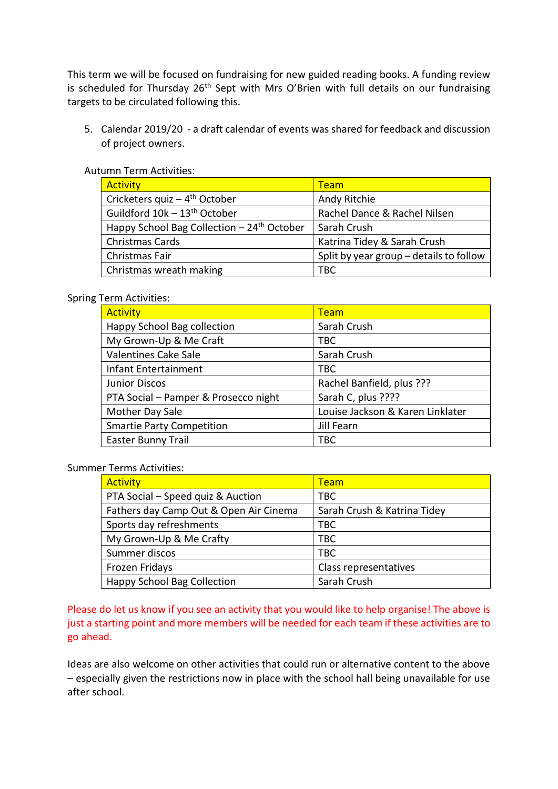This term we will be focused on fundraising for new guided reading books. A funding review is scheduled for Thursday  $26<sup>th</sup>$  Sept with Mrs O'Brien with full details on our fundraising targets to be circulated following this.

5. Calendar 2019/20 - a draft calendar of events was shared for feedback and discussion of project owners.

| <b>Activity</b>                                         | <b>Team</b>                             |
|---------------------------------------------------------|-----------------------------------------|
| Cricketers quiz $-4$ <sup>th</sup> October              | Andy Ritchie                            |
| Guildford 10k - 13 <sup>th</sup> October                | Rachel Dance & Rachel Nilsen            |
| Happy School Bag Collection $-24$ <sup>th</sup> October | Sarah Crush                             |
| Christmas Cards                                         | Katrina Tidey & Sarah Crush             |
| Christmas Fair                                          | Split by year group – details to follow |
| Christmas wreath making                                 | <b>TBC</b>                              |

# Autumn Term Activities:

#### Spring Term Activities:

| <b>Activity</b>                      | <b>Team</b>                      |
|--------------------------------------|----------------------------------|
| Happy School Bag collection          | Sarah Crush                      |
| My Grown-Up & Me Craft               | TBC                              |
| <b>Valentines Cake Sale</b>          | Sarah Crush                      |
| Infant Entertainment                 | <b>TBC</b>                       |
| <b>Junior Discos</b>                 | Rachel Banfield, plus ???        |
| PTA Social - Pamper & Prosecco night | Sarah C, plus ????               |
| Mother Day Sale                      | Louise Jackson & Karen Linklater |
| <b>Smartie Party Competition</b>     | Jill Fearn                       |
| <b>Easter Bunny Trail</b>            | <b>TBC</b>                       |

## Summer Terms Activities:

| <b>Activity</b>                        | <b>Team</b>                 |
|----------------------------------------|-----------------------------|
| PTA Social - Speed quiz & Auction      | <b>TBC</b>                  |
| Fathers day Camp Out & Open Air Cinema | Sarah Crush & Katrina Tidey |
| Sports day refreshments                | <b>TBC</b>                  |
| My Grown-Up & Me Crafty                | <b>TBC</b>                  |
| Summer discos                          | <b>TBC</b>                  |
| Frozen Fridays                         | Class representatives       |
| <b>Happy School Bag Collection</b>     | Sarah Crush                 |

Please do let us know if you see an activity that you would like to help organise! The above is just a starting point and more members will be needed for each team if these activities are to go ahead.

Ideas are also welcome on other activities that could run or alternative content to the above – especially given the restrictions now in place with the school hall being unavailable for use after school.